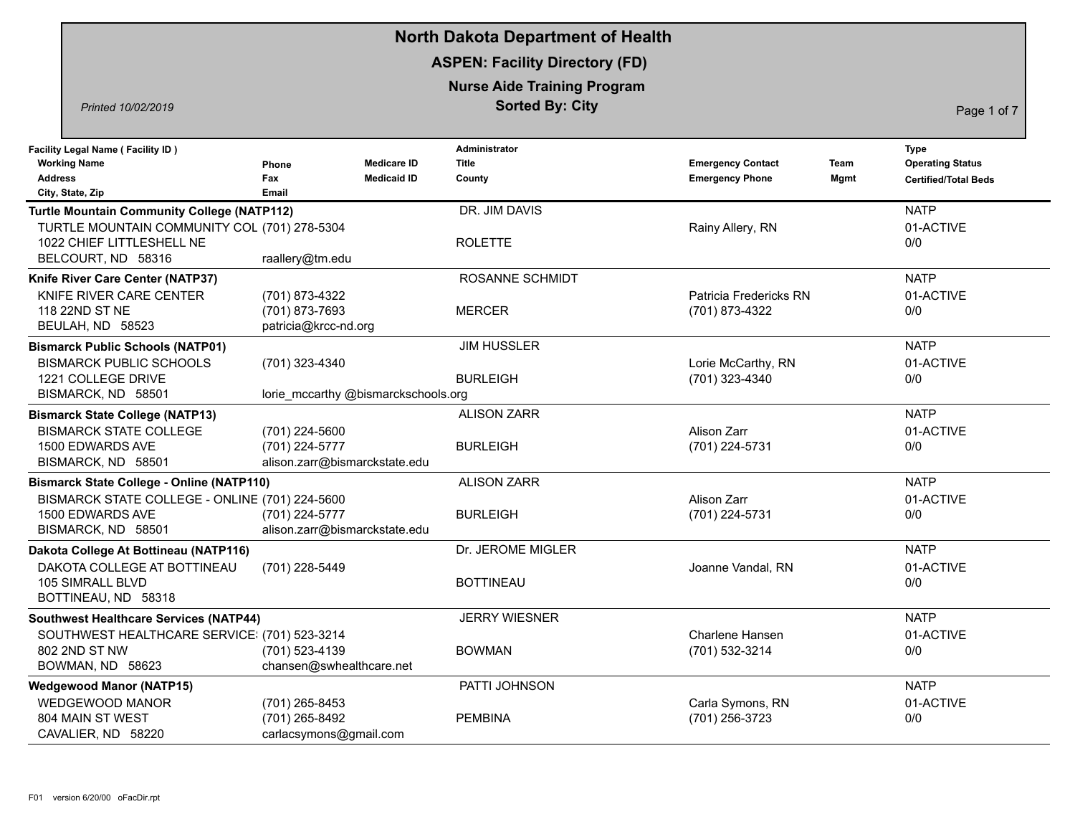|                                                                                                                                                       |                                                                   | <b>North Dakota Department of Health</b>                     |                                                    |                                                                                       |
|-------------------------------------------------------------------------------------------------------------------------------------------------------|-------------------------------------------------------------------|--------------------------------------------------------------|----------------------------------------------------|---------------------------------------------------------------------------------------|
|                                                                                                                                                       |                                                                   | <b>ASPEN: Facility Directory (FD)</b>                        |                                                    |                                                                                       |
| Printed 10/02/2019                                                                                                                                    |                                                                   | <b>Nurse Aide Training Program</b><br><b>Sorted By: City</b> |                                                    | Page 1 of 7                                                                           |
| <b>Facility Legal Name (Facility ID)</b><br><b>Working Name</b><br><b>Address</b><br>City, State, Zip                                                 | <b>Medicare ID</b><br>Phone<br>Fax<br><b>Medicaid ID</b><br>Email | Administrator<br><b>Title</b><br>County                      | <b>Emergency Contact</b><br><b>Emergency Phone</b> | <b>Type</b><br><b>Operating Status</b><br>Team<br>Mgmt<br><b>Certified/Total Beds</b> |
| <b>Turtle Mountain Community College (NATP112)</b><br>TURTLE MOUNTAIN COMMUNITY COL (701) 278-5304<br>1022 CHIEF LITTLESHELL NE<br>BELCOURT, ND 58316 | raallery@tm.edu                                                   | DR. JIM DAVIS<br><b>ROLETTE</b>                              | Rainy Allery, RN                                   | <b>NATP</b><br>01-ACTIVE<br>0/0                                                       |
| Knife River Care Center (NATP37)<br>KNIFE RIVER CARE CENTER<br>118 22ND ST NE<br>BEULAH, ND 58523                                                     | (701) 873-4322<br>(701) 873-7693<br>patricia@krcc-nd.org          | ROSANNE SCHMIDT<br><b>MERCER</b>                             | Patricia Fredericks RN<br>(701) 873-4322           | <b>NATP</b><br>01-ACTIVE<br>0/0                                                       |
| <b>Bismarck Public Schools (NATP01)</b><br><b>BISMARCK PUBLIC SCHOOLS</b><br>1221 COLLEGE DRIVE<br>BISMARCK, ND 58501                                 | (701) 323-4340<br>lorie_mccarthy @bismarckschools.org             | <b>JIM HUSSLER</b><br><b>BURLEIGH</b>                        | Lorie McCarthy, RN<br>(701) 323-4340               | <b>NATP</b><br>01-ACTIVE<br>0/0                                                       |
| <b>Bismarck State College (NATP13)</b><br><b>BISMARCK STATE COLLEGE</b><br>1500 EDWARDS AVE<br>BISMARCK, ND 58501                                     | (701) 224-5600<br>(701) 224-5777<br>alison.zarr@bismarckstate.edu | <b>ALISON ZARR</b><br><b>BURLEIGH</b>                        | Alison Zarr<br>(701) 224-5731                      | <b>NATP</b><br>01-ACTIVE<br>0/0                                                       |
| <b>Bismarck State College - Online (NATP110)</b><br>BISMARCK STATE COLLEGE - ONLINE (701) 224-5600<br>1500 EDWARDS AVE<br>BISMARCK, ND 58501          | (701) 224-5777<br>alison.zarr@bismarckstate.edu                   | <b>ALISON ZARR</b><br><b>BURLEIGH</b>                        | Alison Zarr<br>(701) 224-5731                      | <b>NATP</b><br>01-ACTIVE<br>0/0                                                       |
| Dakota College At Bottineau (NATP116)<br>DAKOTA COLLEGE AT BOTTINEAU<br>105 SIMRALL BLVD<br>BOTTINEAU, ND 58318                                       | (701) 228-5449                                                    | Dr. JEROME MIGLER<br><b>BOTTINEAU</b>                        | Joanne Vandal, RN                                  | <b>NATP</b><br>01-ACTIVE<br>0/0                                                       |
| <b>Southwest Healthcare Services (NATP44)</b><br>SOUTHWEST HEALTHCARE SERVICE: (701) 523-3214<br>802 2ND ST NW<br>BOWMAN, ND 58623                    | (701) 523-4139<br>chansen@swhealthcare.net                        | <b>JERRY WIESNER</b><br><b>BOWMAN</b>                        | Charlene Hansen<br>(701) 532-3214                  | <b>NATP</b><br>01-ACTIVE<br>0/0                                                       |
| <b>Wedgewood Manor (NATP15)</b><br><b>WEDGEWOOD MANOR</b><br>804 MAIN ST WEST<br>CAVALIER, ND 58220                                                   | (701) 265-8453<br>(701) 265-8492<br>carlacsymons@gmail.com        | PATTI JOHNSON<br><b>PEMBINA</b>                              | Carla Symons, RN<br>(701) 256-3723                 | <b>NATP</b><br>01-ACTIVE<br>0/0                                                       |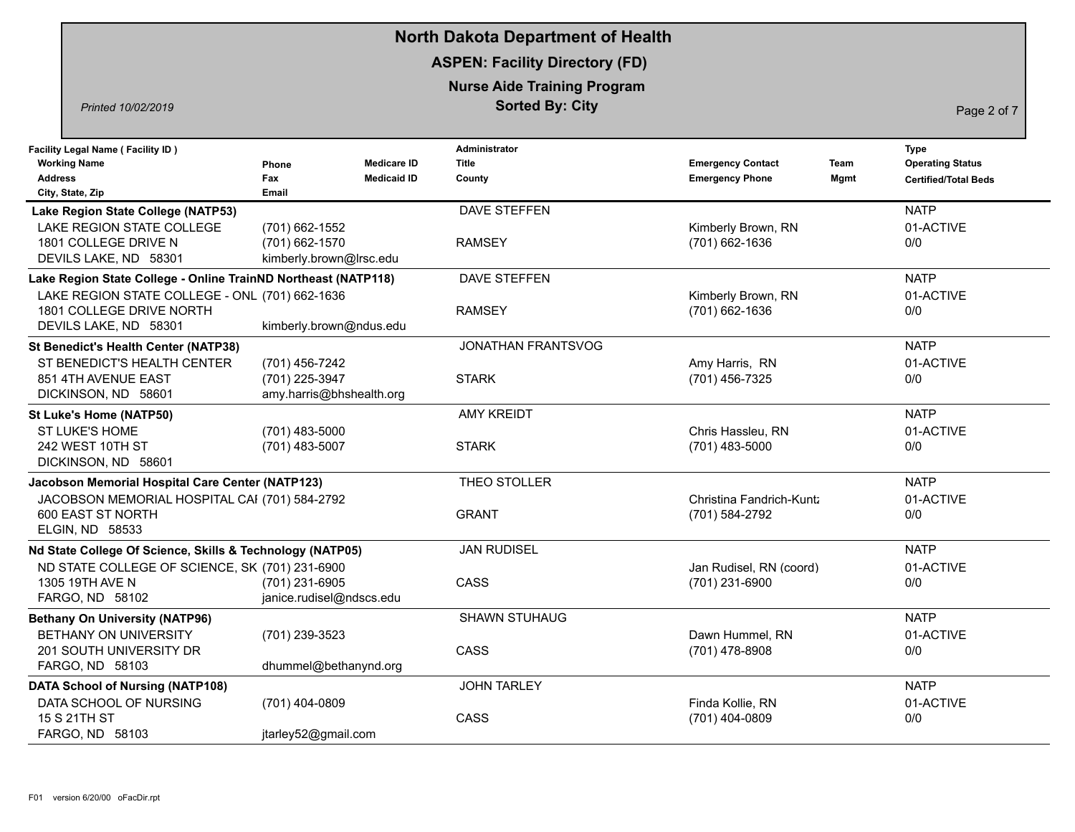|                                                                                                       |                                                              |                                          | <b>North Dakota Department of Health</b>                     |                                                    |              |                                                                |
|-------------------------------------------------------------------------------------------------------|--------------------------------------------------------------|------------------------------------------|--------------------------------------------------------------|----------------------------------------------------|--------------|----------------------------------------------------------------|
|                                                                                                       |                                                              |                                          | <b>ASPEN: Facility Directory (FD)</b>                        |                                                    |              |                                                                |
| Printed 10/02/2019                                                                                    |                                                              |                                          | <b>Nurse Aide Training Program</b><br><b>Sorted By: City</b> |                                                    |              | Page 2 of 7                                                    |
| <b>Facility Legal Name (Facility ID)</b><br><b>Working Name</b><br><b>Address</b><br>City, State, Zip | Phone<br>Fax<br>Email                                        | <b>Medicare ID</b><br><b>Medicaid ID</b> | <b>Administrator</b><br><b>Title</b><br>County               | <b>Emergency Contact</b><br><b>Emergency Phone</b> | Team<br>Mgmt | Type<br><b>Operating Status</b><br><b>Certified/Total Beds</b> |
| Lake Region State College (NATP53)                                                                    |                                                              |                                          | DAVE STEFFEN                                                 |                                                    |              | <b>NATP</b>                                                    |
| LAKE REGION STATE COLLEGE<br>1801 COLLEGE DRIVE N<br>DEVILS LAKE, ND 58301                            | (701) 662-1552<br>(701) 662-1570<br>kimberly.brown@Irsc.edu  |                                          | <b>RAMSEY</b>                                                | Kimberly Brown, RN<br>(701) 662-1636               |              | 01-ACTIVE<br>0/0                                               |
| Lake Region State College - Online TrainND Northeast (NATP118)                                        |                                                              |                                          | DAVE STEFFEN                                                 |                                                    |              | <b>NATP</b>                                                    |
| LAKE REGION STATE COLLEGE - ONL (701) 662-1636<br>1801 COLLEGE DRIVE NORTH<br>DEVILS LAKE, ND 58301   | kimberly.brown@ndus.edu                                      |                                          | <b>RAMSEY</b>                                                | Kimberly Brown, RN<br>$(701)$ 662-1636             |              | 01-ACTIVE<br>0/0                                               |
| <b>St Benedict's Health Center (NATP38)</b>                                                           |                                                              |                                          | JONATHAN FRANTSVOG                                           |                                                    |              | <b>NATP</b>                                                    |
| ST BENEDICT'S HEALTH CENTER<br>851 4TH AVENUE EAST<br>DICKINSON, ND 58601                             | (701) 456-7242<br>(701) 225-3947<br>amy.harris@bhshealth.org |                                          | <b>STARK</b>                                                 | Amy Harris, RN<br>(701) 456-7325                   |              | 01-ACTIVE<br>0/0                                               |
| St Luke's Home (NATP50)                                                                               |                                                              |                                          | <b>AMY KREIDT</b>                                            |                                                    |              | <b>NATP</b>                                                    |
| ST LUKE'S HOME<br>242 WEST 10TH ST<br>DICKINSON, ND 58601                                             | (701) 483-5000<br>(701) 483-5007                             |                                          | <b>STARK</b>                                                 | Chris Hassleu, RN<br>(701) 483-5000                |              | 01-ACTIVE<br>0/0                                               |
| Jacobson Memorial Hospital Care Center (NATP123)                                                      |                                                              |                                          | THEO STOLLER                                                 |                                                    |              | <b>NATP</b>                                                    |
| JACOBSON MEMORIAL HOSPITAL CAI (701) 584-2792<br>600 EAST ST NORTH<br>ELGIN, ND 58533                 |                                                              |                                          | <b>GRANT</b>                                                 | Christina Fandrich-Kuntz<br>(701) 584-2792         |              | 01-ACTIVE<br>0/0                                               |
| Nd State College Of Science, Skills & Technology (NATP05)                                             |                                                              |                                          | <b>JAN RUDISEL</b>                                           |                                                    |              | <b>NATP</b>                                                    |
| ND STATE COLLEGE OF SCIENCE, SK (701) 231-6900<br>1305 19TH AVE N<br>FARGO, ND 58102                  | (701) 231-6905<br>janice.rudisel@ndscs.edu                   |                                          | CASS                                                         | Jan Rudisel, RN (coord)<br>(701) 231-6900          |              | 01-ACTIVE<br>0/0                                               |
| <b>Bethany On University (NATP96)</b>                                                                 |                                                              |                                          | <b>SHAWN STUHAUG</b>                                         |                                                    |              | <b>NATP</b>                                                    |
| BETHANY ON UNIVERSITY<br>201 SOUTH UNIVERSITY DR<br>FARGO, ND 58103                                   | (701) 239-3523<br>dhummel@bethanynd.org                      |                                          | CASS                                                         | Dawn Hummel, RN<br>(701) 478-8908                  |              | 01-ACTIVE<br>0/0                                               |
| <b>DATA School of Nursing (NATP108)</b>                                                               |                                                              |                                          | JOHN TARLEY                                                  |                                                    |              | <b>NATP</b>                                                    |
| DATA SCHOOL OF NURSING<br>15 S 21TH ST<br>FARGO, ND 58103                                             | (701) 404-0809<br>jtarley52@gmail.com                        |                                          | CASS                                                         | Finda Kollie, RN<br>(701) 404-0809                 |              | 01-ACTIVE<br>0/0                                               |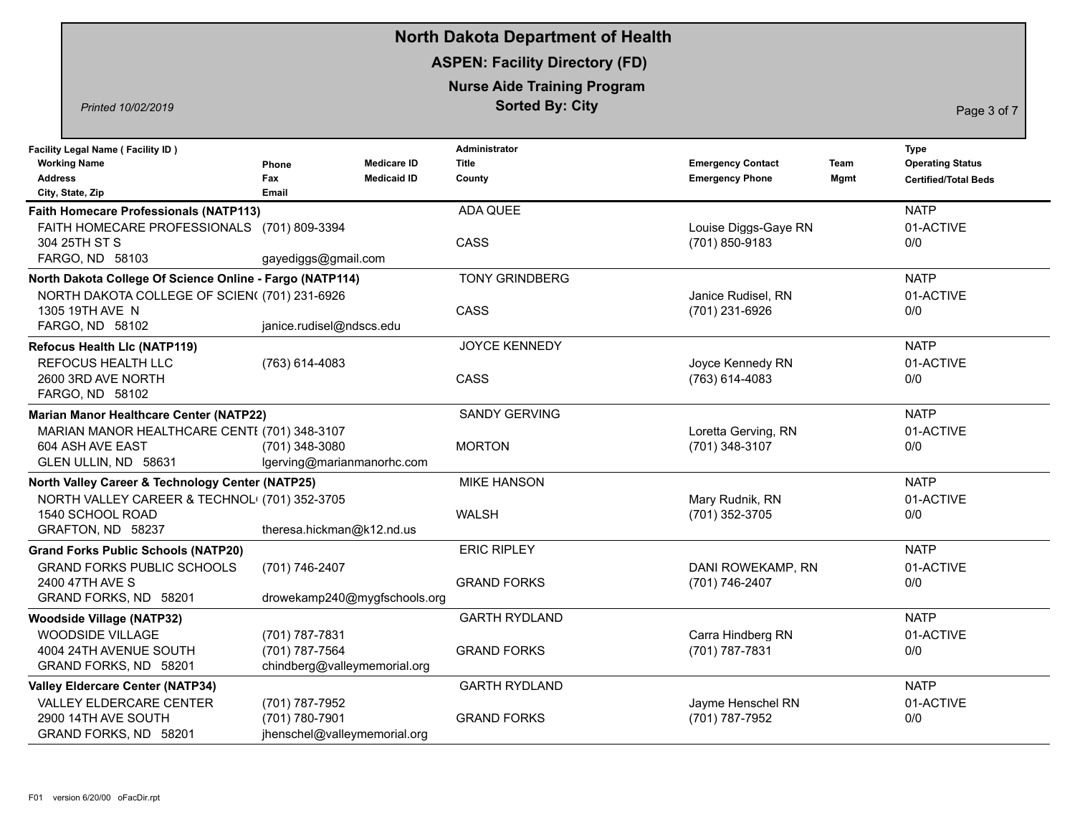|                                                                                                                                                |                                                                   | <b>North Dakota Department of Health</b>                     |                                                    |              |                                                                       |
|------------------------------------------------------------------------------------------------------------------------------------------------|-------------------------------------------------------------------|--------------------------------------------------------------|----------------------------------------------------|--------------|-----------------------------------------------------------------------|
|                                                                                                                                                |                                                                   | <b>ASPEN: Facility Directory (FD)</b>                        |                                                    |              |                                                                       |
| Printed 10/02/2019                                                                                                                             |                                                                   | <b>Nurse Aide Training Program</b><br><b>Sorted By: City</b> |                                                    |              | Page 3 of 7                                                           |
| <b>Facility Legal Name (Facility ID)</b><br><b>Working Name</b><br><b>Address</b><br>City, State, Zip                                          | <b>Medicare ID</b><br>Phone<br><b>Medicaid ID</b><br>Fax<br>Email | Administrator<br>Title<br>County                             | <b>Emergency Contact</b><br><b>Emergency Phone</b> | Team<br>Mgmt | <b>Type</b><br><b>Operating Status</b><br><b>Certified/Total Beds</b> |
| <b>Faith Homecare Professionals (NATP113)</b><br>FAITH HOMECARE PROFESSIONALS (701) 809-3394<br>304 25TH ST S<br>FARGO, ND 58103               | gayediggs@gmail.com                                               | ADA QUEE<br>CASS                                             | Louise Diggs-Gaye RN<br>(701) 850-9183             |              | <b>NATP</b><br>01-ACTIVE<br>0/0                                       |
| North Dakota College Of Science Online - Fargo (NATP114)<br>NORTH DAKOTA COLLEGE OF SCIEN((701) 231-6926<br>1305 19TH AVE N<br>FARGO, ND 58102 | janice.rudisel@ndscs.edu                                          | <b>TONY GRINDBERG</b><br>CASS                                | Janice Rudisel, RN<br>(701) 231-6926               |              | <b>NATP</b><br>01-ACTIVE<br>0/0                                       |
| <b>Refocus Health Llc (NATP119)</b><br><b>REFOCUS HEALTH LLC</b><br>2600 3RD AVE NORTH<br>FARGO, ND 58102                                      | (763) 614-4083                                                    | JOYCE KENNEDY<br>CASS                                        | Joyce Kennedy RN<br>$(763)$ 614-4083               |              | <b>NATP</b><br>01-ACTIVE<br>0/0                                       |
| Marian Manor Healthcare Center (NATP22)<br>MARIAN MANOR HEALTHCARE CENTI (701) 348-3107<br>604 ASH AVE EAST<br>GLEN ULLIN, ND 58631            | (701) 348-3080<br>lgerving@marianmanorhc.com                      | <b>SANDY GERVING</b><br><b>MORTON</b>                        | Loretta Gerving, RN<br>(701) 348-3107              |              | <b>NATP</b><br>01-ACTIVE<br>0/0                                       |
| North Valley Career & Technology Center (NATP25)<br>NORTH VALLEY CAREER & TECHNOL (701) 352-3705<br>1540 SCHOOL ROAD<br>GRAFTON, ND 58237      | theresa.hickman@k12.nd.us                                         | <b>MIKE HANSON</b><br><b>WALSH</b>                           | Mary Rudnik, RN<br>(701) 352-3705                  |              | <b>NATP</b><br>01-ACTIVE<br>0/0                                       |
| <b>Grand Forks Public Schools (NATP20)</b><br><b>GRAND FORKS PUBLIC SCHOOLS</b><br>2400 47TH AVE S<br>GRAND FORKS, ND 58201                    | (701) 746-2407<br>drowekamp240@mygfschools.org                    | <b>ERIC RIPLEY</b><br><b>GRAND FORKS</b>                     | DANI ROWEKAMP, RN<br>(701) 746-2407                |              | <b>NATP</b><br>01-ACTIVE<br>0/0                                       |
| <b>Woodside Village (NATP32)</b><br>WOODSIDE VILLAGE<br>4004 24TH AVENUE SOUTH<br>GRAND FORKS, ND 58201                                        | (701) 787-7831<br>(701) 787-7564<br>chindberg@valleymemorial.org  | <b>GARTH RYDLAND</b><br><b>GRAND FORKS</b>                   | Carra Hindberg RN<br>(701) 787-7831                |              | <b>NATP</b><br>01-ACTIVE<br>0/0                                       |
| <b>Valley Eldercare Center (NATP34)</b><br>VALLEY ELDERCARE CENTER<br>2900 14TH AVE SOUTH<br>GRAND FORKS, ND 58201                             | (701) 787-7952<br>(701) 780-7901<br>jhenschel@valleymemorial.org  | <b>GARTH RYDLAND</b><br><b>GRAND FORKS</b>                   | Jayme Henschel RN<br>(701) 787-7952                |              | <b>NATP</b><br>01-ACTIVE<br>0/0                                       |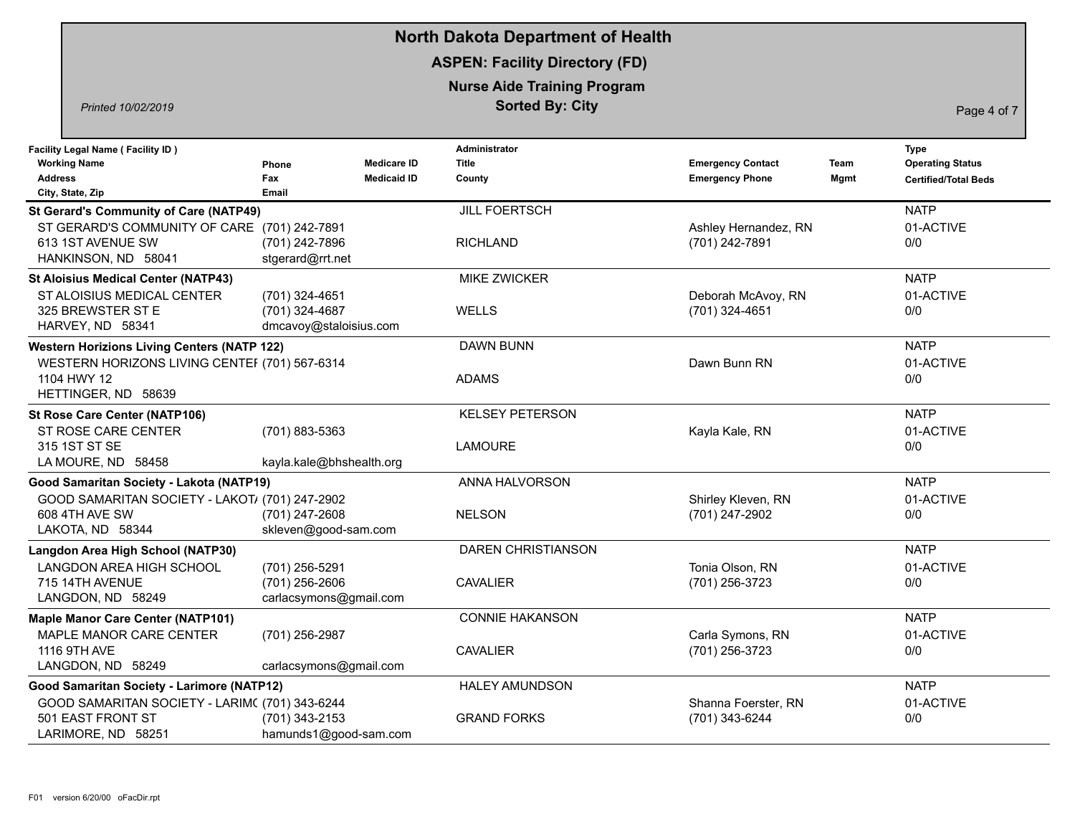|                                                                                                       |                                                            |                                          | <b>North Dakota Department of Health</b>                     |                                                    |              |                                                                |
|-------------------------------------------------------------------------------------------------------|------------------------------------------------------------|------------------------------------------|--------------------------------------------------------------|----------------------------------------------------|--------------|----------------------------------------------------------------|
|                                                                                                       |                                                            |                                          | <b>ASPEN: Facility Directory (FD)</b>                        |                                                    |              |                                                                |
| Printed 10/02/2019                                                                                    |                                                            |                                          | <b>Nurse Aide Training Program</b><br><b>Sorted By: City</b> |                                                    |              | Page 4 of 7                                                    |
| <b>Facility Legal Name (Facility ID)</b><br><b>Working Name</b><br><b>Address</b><br>City, State, Zip | <b>Phone</b><br>Fax<br>Email                               | <b>Medicare ID</b><br><b>Medicaid ID</b> | Administrator<br>Title<br>County                             | <b>Emergency Contact</b><br><b>Emergency Phone</b> | Team<br>Mgmt | Type<br><b>Operating Status</b><br><b>Certified/Total Beds</b> |
| <b>St Gerard's Community of Care (NATP49)</b>                                                         |                                                            |                                          | <b>JILL FOERTSCH</b>                                         |                                                    |              | <b>NATP</b>                                                    |
| ST GERARD'S COMMUNITY OF CARE (701) 242-7891<br>613 1ST AVENUE SW<br>HANKINSON, ND 58041              | (701) 242-7896<br>stgerard@rrt.net                         |                                          | <b>RICHLAND</b>                                              | Ashley Hernandez, RN<br>(701) 242-7891             |              | 01-ACTIVE<br>0/0                                               |
| <b>St Aloisius Medical Center (NATP43)</b>                                                            |                                                            |                                          | <b>MIKE ZWICKER</b>                                          |                                                    |              | <b>NATP</b>                                                    |
| ST ALOISIUS MEDICAL CENTER<br>325 BREWSTER ST E<br>HARVEY, ND 58341                                   | (701) 324-4651<br>(701) 324-4687<br>dmcavoy@staloisius.com |                                          | WELLS                                                        | Deborah McAvoy, RN<br>(701) 324-4651               |              | 01-ACTIVE<br>0/0                                               |
| <b>Western Horizions Living Centers (NATP 122)</b>                                                    |                                                            |                                          | <b>DAWN BUNN</b>                                             |                                                    |              | <b>NATP</b>                                                    |
| WESTERN HORIZONS LIVING CENTEF (701) 567-6314<br>1104 HWY 12<br>HETTINGER, ND 58639                   |                                                            |                                          | <b>ADAMS</b>                                                 | Dawn Bunn RN                                       |              | 01-ACTIVE<br>0/0                                               |
| <b>St Rose Care Center (NATP106)</b>                                                                  |                                                            |                                          | <b>KELSEY PETERSON</b>                                       |                                                    |              | <b>NATP</b>                                                    |
| ST ROSE CARE CENTER<br>315 1ST ST SE<br>LA MOURE, ND 58458                                            | (701) 883-5363<br>kayla.kale@bhshealth.org                 |                                          | <b>LAMOURE</b>                                               | Kayla Kale, RN                                     |              | 01-ACTIVE<br>0/0                                               |
| Good Samaritan Society - Lakota (NATP19)                                                              |                                                            |                                          | ANNA HALVORSON                                               |                                                    |              | <b>NATP</b>                                                    |
| GOOD SAMARITAN SOCIETY - LAKOT/ (701) 247-2902<br>608 4TH AVE SW<br>LAKOTA, ND 58344                  | (701) 247-2608<br>skleven@good-sam.com                     |                                          | <b>NELSON</b>                                                | Shirley Kleven, RN<br>(701) 247-2902               |              | 01-ACTIVE<br>0/0                                               |
| Langdon Area High School (NATP30)                                                                     |                                                            |                                          | <b>DAREN CHRISTIANSON</b>                                    |                                                    |              | <b>NATP</b>                                                    |
| LANGDON AREA HIGH SCHOOL<br>715 14TH AVENUE<br>LANGDON, ND 58249                                      | (701) 256-5291<br>(701) 256-2606<br>carlacsymons@gmail.com |                                          | <b>CAVALIER</b>                                              | Tonia Olson, RN<br>(701) 256-3723                  |              | 01-ACTIVE<br>0/0                                               |
| <b>Maple Manor Care Center (NATP101)</b>                                                              |                                                            |                                          | <b>CONNIE HAKANSON</b>                                       |                                                    |              | <b>NATP</b>                                                    |
| MAPLE MANOR CARE CENTER<br>1116 9TH AVE<br>LANGDON, ND 58249                                          | (701) 256-2987<br>carlacsymons@gmail.com                   |                                          | <b>CAVALIER</b>                                              | Carla Symons, RN<br>(701) 256-3723                 |              | 01-ACTIVE<br>0/0                                               |
| Good Samaritan Society - Larimore (NATP12)                                                            |                                                            |                                          | <b>HALEY AMUNDSON</b>                                        |                                                    |              | <b>NATP</b>                                                    |
| GOOD SAMARITAN SOCIETY - LARIM( (701) 343-6244<br>501 EAST FRONT ST<br>LARIMORE, ND 58251             | (701) 343-2153<br>hamunds1@good-sam.com                    |                                          | <b>GRAND FORKS</b>                                           | Shanna Foerster, RN<br>(701) 343-6244              |              | 01-ACTIVE<br>0/0                                               |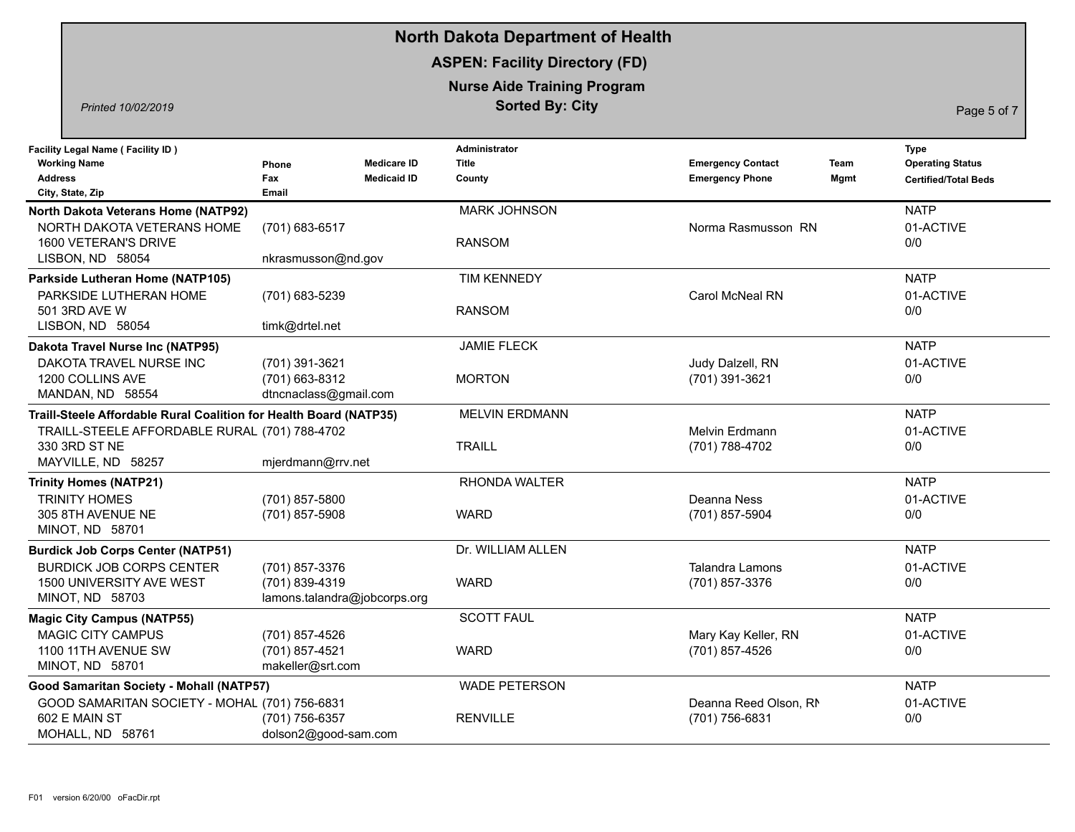|                                                                                                                                                            |                                                                   | <b>North Dakota Department of Health</b>                     |                                                    |              |                                                                |
|------------------------------------------------------------------------------------------------------------------------------------------------------------|-------------------------------------------------------------------|--------------------------------------------------------------|----------------------------------------------------|--------------|----------------------------------------------------------------|
|                                                                                                                                                            |                                                                   | <b>ASPEN: Facility Directory (FD)</b>                        |                                                    |              |                                                                |
| Printed 10/02/2019                                                                                                                                         |                                                                   | <b>Nurse Aide Training Program</b><br><b>Sorted By: City</b> |                                                    |              | Page 5 of 7                                                    |
| <b>Facility Legal Name (Facility ID)</b><br><b>Working Name</b><br><b>Address</b><br>City, State, Zip                                                      | <b>Medicare ID</b><br>Phone<br>Fax<br><b>Medicaid ID</b><br>Email | <b>Administrator</b><br><b>Title</b><br>County               | <b>Emergency Contact</b><br><b>Emergency Phone</b> | Team<br>Mgmt | Type<br><b>Operating Status</b><br><b>Certified/Total Beds</b> |
| North Dakota Veterans Home (NATP92)<br>NORTH DAKOTA VETERANS HOME<br>1600 VETERAN'S DRIVE<br>LISBON, ND 58054                                              | (701) 683-6517<br>nkrasmusson@nd.gov                              | <b>MARK JOHNSON</b><br><b>RANSOM</b>                         | Norma Rasmusson RN                                 |              | <b>NATP</b><br>01-ACTIVE<br>0/0                                |
| Parkside Lutheran Home (NATP105)<br>PARKSIDE LUTHERAN HOME<br>501 3RD AVE W<br>LISBON, ND 58054                                                            | (701) 683-5239<br>timk@drtel.net                                  | <b>TIM KENNEDY</b><br><b>RANSOM</b>                          | Carol McNeal RN                                    |              | <b>NATP</b><br>01-ACTIVE<br>0/0                                |
| Dakota Travel Nurse Inc (NATP95)<br>DAKOTA TRAVEL NURSE INC<br>1200 COLLINS AVE<br>MANDAN, ND 58554                                                        | (701) 391-3621<br>(701) 663-8312<br>dtncnaclass@gmail.com         | <b>JAMIE FLECK</b><br><b>MORTON</b>                          | Judy Dalzell, RN<br>(701) 391-3621                 |              | <b>NATP</b><br>01-ACTIVE<br>0/0                                |
| Traill-Steele Affordable Rural Coalition for Health Board (NATP35)<br>TRAILL-STEELE AFFORDABLE RURAL (701) 788-4702<br>330 3RD ST NE<br>MAYVILLE, ND 58257 | mjerdmann@rrv.net                                                 | <b>MELVIN ERDMANN</b><br><b>TRAILL</b>                       | <b>Melvin Erdmann</b><br>(701) 788-4702            |              | <b>NATP</b><br>01-ACTIVE<br>0/0                                |
| <b>Trinity Homes (NATP21)</b><br><b>TRINITY HOMES</b><br>305 8TH AVENUE NE<br>MINOT, ND 58701                                                              | (701) 857-5800<br>(701) 857-5908                                  | RHONDA WALTER<br><b>WARD</b>                                 | Deanna Ness<br>(701) 857-5904                      |              | <b>NATP</b><br>01-ACTIVE<br>0/0                                |
| <b>Burdick Job Corps Center (NATP51)</b><br><b>BURDICK JOB CORPS CENTER</b><br>1500 UNIVERSITY AVE WEST<br>MINOT, ND 58703                                 | (701) 857-3376<br>(701) 839-4319<br>lamons.talandra@jobcorps.org  | Dr. WILLIAM ALLEN<br><b>WARD</b>                             | <b>Talandra Lamons</b><br>(701) 857-3376           |              | <b>NATP</b><br>01-ACTIVE<br>0/0                                |
| <b>Magic City Campus (NATP55)</b><br><b>MAGIC CITY CAMPUS</b><br>1100 11TH AVENUE SW<br>MINOT, ND 58701                                                    | (701) 857-4526<br>(701) 857-4521<br>makeller@srt.com              | <b>SCOTT FAUL</b><br><b>WARD</b>                             | Mary Kay Keller, RN<br>(701) 857-4526              |              | <b>NATP</b><br>01-ACTIVE<br>0/0                                |
| Good Samaritan Society - Mohall (NATP57)<br>GOOD SAMARITAN SOCIETY - MOHAL (701) 756-6831<br>602 E MAIN ST<br>MOHALL, ND 58761                             | (701) 756-6357<br>dolson2@good-sam.com                            | <b>WADE PETERSON</b><br><b>RENVILLE</b>                      | Deanna Reed Olson, RN<br>(701) 756-6831            |              | <b>NATP</b><br>01-ACTIVE<br>0/0                                |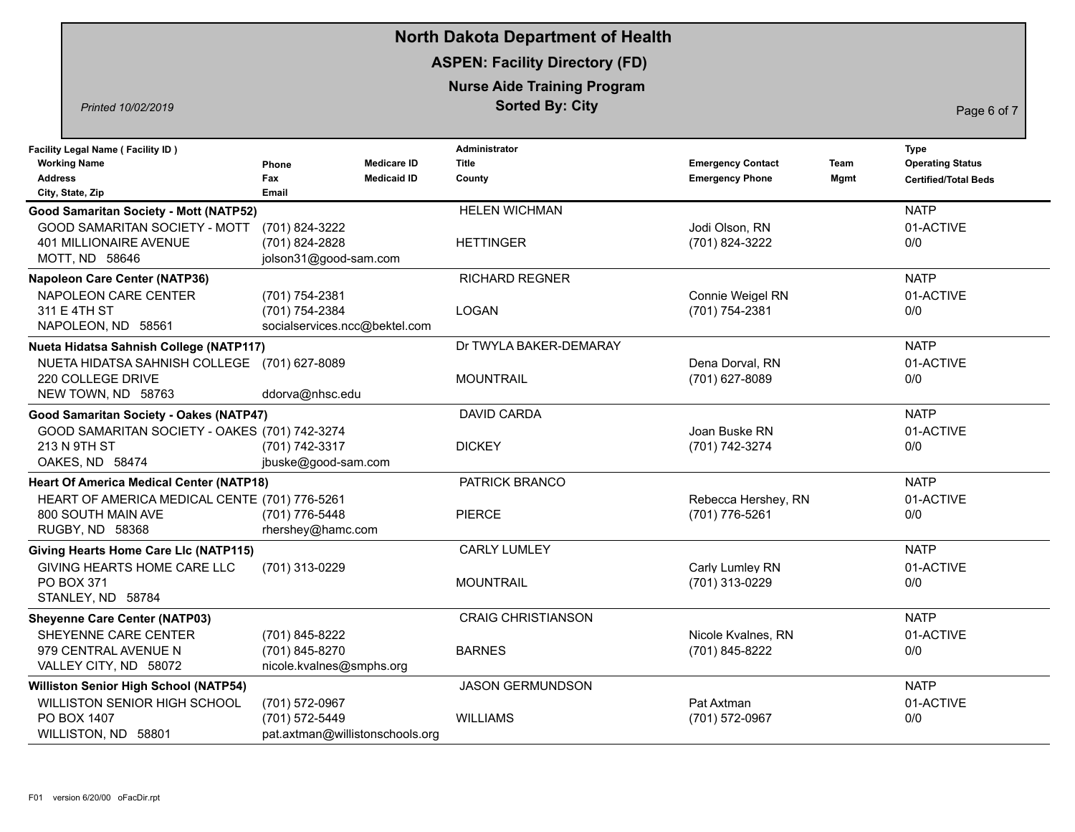|                                                                                                       |                                                                     | <b>North Dakota Department of Health</b>                     |                                                    |              |                                                                |
|-------------------------------------------------------------------------------------------------------|---------------------------------------------------------------------|--------------------------------------------------------------|----------------------------------------------------|--------------|----------------------------------------------------------------|
|                                                                                                       |                                                                     | <b>ASPEN: Facility Directory (FD)</b>                        |                                                    |              |                                                                |
| Printed 10/02/2019                                                                                    |                                                                     | <b>Nurse Aide Training Program</b><br><b>Sorted By: City</b> |                                                    |              | Page 6 of 7                                                    |
| <b>Facility Legal Name (Facility ID)</b><br><b>Working Name</b><br><b>Address</b><br>City, State, Zip | <b>Medicare ID</b><br>Phone<br><b>Medicaid ID</b><br>Fax<br>Email   | <b>Administrator</b><br><b>Title</b><br>County               | <b>Emergency Contact</b><br><b>Emergency Phone</b> | Team<br>Mgmt | Type<br><b>Operating Status</b><br><b>Certified/Total Beds</b> |
| <b>Good Samaritan Society - Mott (NATP52)</b>                                                         |                                                                     | <b>HELEN WICHMAN</b>                                         |                                                    |              | <b>NATP</b>                                                    |
| GOOD SAMARITAN SOCIETY - MOTT<br>401 MILLIONAIRE AVENUE<br>MOTT, ND 58646                             | (701) 824-3222<br>(701) 824-2828<br>jolson31@good-sam.com           | <b>HETTINGER</b>                                             | Jodi Olson, RN<br>(701) 824-3222                   |              | 01-ACTIVE<br>0/0                                               |
| <b>Napoleon Care Center (NATP36)</b>                                                                  |                                                                     | <b>RICHARD REGNER</b>                                        |                                                    |              | <b>NATP</b>                                                    |
| NAPOLEON CARE CENTER<br>311 E 4TH ST<br>NAPOLEON, ND 58561                                            | (701) 754-2381<br>(701) 754-2384<br>socialservices.ncc@bektel.com   | <b>LOGAN</b>                                                 | Connie Weigel RN<br>(701) 754-2381                 |              | 01-ACTIVE<br>0/0                                               |
| Nueta Hidatsa Sahnish College (NATP117)                                                               |                                                                     | Dr TWYLA BAKER-DEMARAY                                       |                                                    |              | <b>NATP</b>                                                    |
| NUETA HIDATSA SAHNISH COLLEGE<br>220 COLLEGE DRIVE<br>NEW TOWN, ND 58763                              | (701) 627-8089<br>ddorva@nhsc.edu                                   | <b>MOUNTRAIL</b>                                             | Dena Dorval, RN<br>(701) 627-8089                  |              | 01-ACTIVE<br>0/0                                               |
| Good Samaritan Society - Oakes (NATP47)                                                               |                                                                     | <b>DAVID CARDA</b>                                           |                                                    |              | <b>NATP</b>                                                    |
| GOOD SAMARITAN SOCIETY - OAKES (701) 742-3274<br>213 N 9TH ST<br>OAKES, ND 58474                      | (701) 742-3317<br>jbuske@good-sam.com                               | <b>DICKEY</b>                                                | Joan Buske RN<br>(701) 742-3274                    |              | 01-ACTIVE<br>0/0                                               |
| <b>Heart Of America Medical Center (NATP18)</b>                                                       |                                                                     | PATRICK BRANCO                                               |                                                    |              | <b>NATP</b>                                                    |
| HEART OF AMERICA MEDICAL CENTE (701) 776-5261<br>800 SOUTH MAIN AVE<br>RUGBY, ND 58368                | (701) 776-5448<br>rhershey@hamc.com                                 | <b>PIERCE</b>                                                | Rebecca Hershey, RN<br>(701) 776-5261              |              | 01-ACTIVE<br>0/0                                               |
| <b>Giving Hearts Home Care Llc (NATP115)</b>                                                          |                                                                     | <b>CARLY LUMLEY</b>                                          |                                                    |              | <b>NATP</b>                                                    |
| GIVING HEARTS HOME CARE LLC<br><b>PO BOX 371</b><br>STANLEY, ND 58784                                 | (701) 313-0229                                                      | <b>MOUNTRAIL</b>                                             | Carly Lumley RN<br>(701) 313-0229                  |              | 01-ACTIVE<br>0/0                                               |
| <b>Sheyenne Care Center (NATP03)</b>                                                                  |                                                                     | <b>CRAIG CHRISTIANSON</b>                                    |                                                    |              | <b>NATP</b>                                                    |
| SHEYENNE CARE CENTER<br>979 CENTRAL AVENUE N<br>VALLEY CITY, ND 58072                                 | (701) 845-8222<br>(701) 845-8270<br>nicole.kvalnes@smphs.org        | <b>BARNES</b>                                                | Nicole Kvalnes, RN<br>(701) 845-8222               |              | 01-ACTIVE<br>0/0                                               |
| <b>Williston Senior High School (NATP54)</b>                                                          |                                                                     | <b>JASON GERMUNDSON</b>                                      |                                                    |              | <b>NATP</b>                                                    |
| WILLISTON SENIOR HIGH SCHOOL<br>PO BOX 1407<br>WILLISTON, ND 58801                                    | (701) 572-0967<br>(701) 572-5449<br>pat.axtman@willistonschools.org | <b>WILLIAMS</b>                                              | Pat Axtman<br>(701) 572-0967                       |              | 01-ACTIVE<br>0/0                                               |